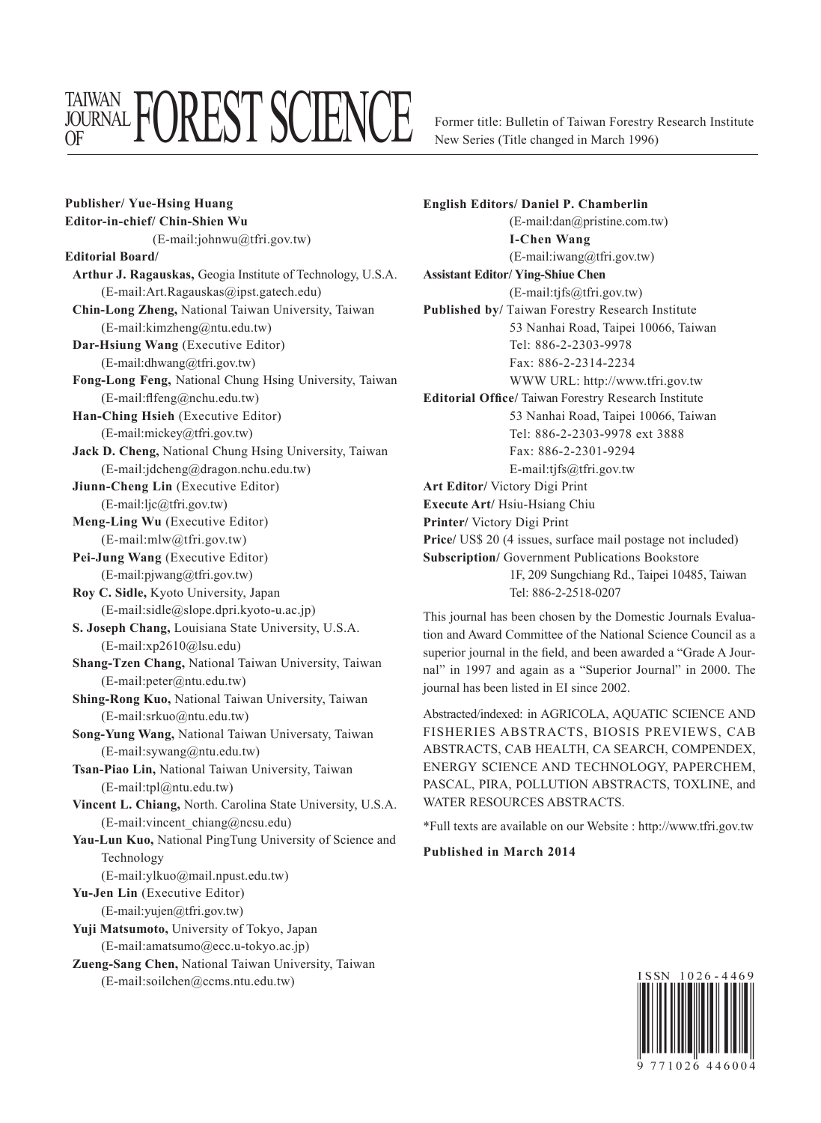## TAIWAN <sup>JOURNAL</sup> L'U**LEY I** D'ALEINAL

Former title: Bulletin of Taiwan Forestry Research Institute New Series (Title changed in March 1996)

**Publisher/ Yue-Hsing Huang Editor-in-chief/ Chin-Shien Wu** (E-mail:johnwu@tfri.gov.tw) **Editorial Board/ Arthur J. Ragauskas,** Geogia Institute of Technology, U.S.A. (E-mail:Art.Ragauskas@ipst.gatech.edu) **Chin-Long Zheng,** National Taiwan University, Taiwan (E-mail:kimzheng@ntu.edu.tw) **Dar-Hsiung Wang** (Executive Editor) (E-mail:dhwang@tfri.gov.tw) **Fong-Long Feng,** National Chung Hsing University, Taiwan (E-mail:flfeng@nchu.edu.tw) **Han-Ching Hsieh** (Executive Editor) (E-mail:mickey@tfri.gov.tw) **Jack D. Cheng,** National Chung Hsing University, Taiwan (E-mail:jdcheng@dragon.nchu.edu.tw) **Jiunn-Cheng Lin** (Executive Editor) (E-mail:ljc@tfri.gov.tw) **Meng-Ling Wu** (Executive Editor) (E-mail:mlw@tfri.gov.tw) **Pei-Jung Wang** (Executive Editor) (E-mail:pjwang@tfri.gov.tw) **Roy C. Sidle,** Kyoto University, Japan (E-mail:sidle@slope.dpri.kyoto-u.ac.jp) **S. Joseph Chang,** Louisiana State University, U.S.A. (E-mail:xp2610@lsu.edu) **Shang-Tzen Chang,** National Taiwan University, Taiwan (E-mail:peter@ntu.edu.tw) **Shing-Rong Kuo,** National Taiwan University, Taiwan (E-mail:srkuo@ntu.edu.tw) **Song-Yung Wang,** National Taiwan Universaty, Taiwan (E-mail:sywang@ntu.edu.tw) **Tsan-Piao Lin,** National Taiwan University, Taiwan (E-mail:tpl@ntu.edu.tw) **Vincent L. Chiang,** North. Carolina State University, U.S.A. (E-mail:vincent\_chiang@ncsu.edu) **Yau-Lun Kuo,** National PingTung University of Science and Technology (E-mail:ylkuo@mail.npust.edu.tw) **Yu-Jen Lin** (Executive Editor) (E-mail:yujen@tfri.gov.tw) **Yuji Matsumoto,** University of Tokyo, Japan (E-mail:amatsumo@ecc.u-tokyo.ac.jp) **Zueng-Sang Chen,** National Taiwan University, Taiwan

(E-mail:soilchen@ccms.ntu.edu.tw)

**English Editors/ Daniel P. Chamberlin** (E-mail:dan@pristine.com.tw) **I-Chen Wang** (E-mail:iwang@tfri.gov.tw) **Assistant Editor/ Ying-Shiue Chen** (E-mail:tjfs@tfri.gov.tw) **Published by/** Taiwan Forestry Research Institute 53 Nanhai Road, Taipei 10066, Taiwan Tel: 886-2-2303-9978 Fax: 886-2-2314-2234 WWW URL: http://www.tfri.gov.tw **Editorial Office/** Taiwan Forestry Research Institute 53 Nanhai Road, Taipei 10066, Taiwan Tel: 886-2-2303-9978 ext 3888 Fax: 886-2-2301-9294 E-mail:tjfs@tfri.gov.tw **Art Editor/** Victory Digi Print **Execute Art/** Hsiu-Hsiang Chiu **Printer/** Victory Digi Print **Price/** US\$ 20 (4 issues, surface mail postage not included) **Subscription/** Government Publications Bookstore 1F, 209 Sungchiang Rd., Taipei 10485, Taiwan Tel: 886-2-2518-0207

This journal has been chosen by the Domestic Journals Evaluation and Award Committee of the National Science Council as a superior journal in the field, and been awarded a "Grade A Journal" in 1997 and again as a "Superior Journal" in 2000. The journal has been listed in EI since 2002.

Abstracted/indexed: in AGRICOLA, AQUATIC SCIENCE AND FISHERIES ABSTRACTS, BIOSIS PREVIEWS, CAB ABSTRACTS, CAB HEALTH, CA SEARCH, COMPENDEX, ENERGY SCIENCE AND TECHNOLOGY, PAPERCHEM, PASCAL, PIRA, POLLUTION ABSTRACTS, TOXLINE, and WATER RESOURCES ABSTRACTS.

\*Full texts are available on our Website : http://www.tfri.gov.tw

## **Published in March 2014**